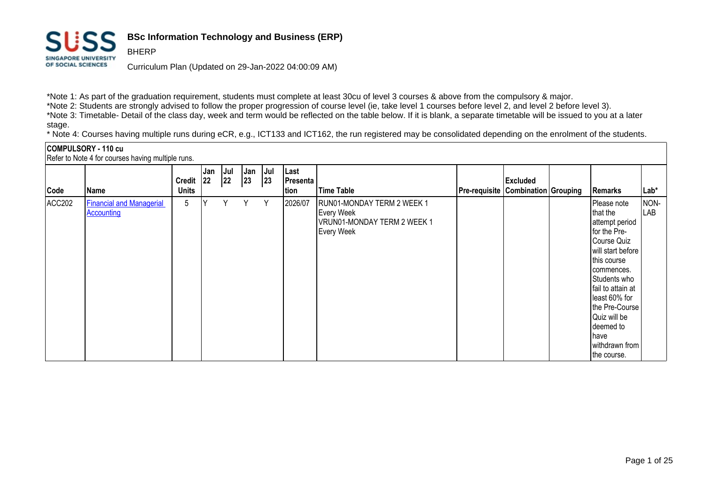

BHERP

# **BSc Information Technology and Business (ERP)**

Curriculum Plan (Updated on 29-Jan-2022 04:00:09 AM)

\*Note 1: As part of the graduation requirement, students must complete at least 30cu of level 3 courses & above from the compulsory & major.

\*Note 2: Students are strongly advised to follow the proper progression of course level (ie, take level 1 courses before level 2, and level 2 before level 3).

\*Note 3: Timetable- Detail of the class day, week and term would be reflected on the table below. If it is blank, a separate timetable will be issued to you at a later stage.

\* Note 4: Courses having multiple runs during eCR, e.g., ICT133 and ICT162, the run registered may be consolidated depending on the enrolment of the students.

|        | COMPULSORY - 110 cu<br>Refer to Note 4 for courses having multiple runs. |                               |     |           |            |           |                                   |                                                                                                     |                                           |                 |                                                                                                                                                                                                                                                                           |             |
|--------|--------------------------------------------------------------------------|-------------------------------|-----|-----------|------------|-----------|-----------------------------------|-----------------------------------------------------------------------------------------------------|-------------------------------------------|-----------------|---------------------------------------------------------------------------------------------------------------------------------------------------------------------------------------------------------------------------------------------------------------------------|-------------|
| Code   | <b>Name</b>                                                              | Credit $ 22 $<br><b>Units</b> | Jan | Jul<br>22 | Jan<br> 23 | Jul<br>23 | Last<br><b>Presenta</b>  <br>tion | <b>Time Table</b>                                                                                   | <b>Pre-requisite Combination Grouping</b> | <b>Excluded</b> | Remarks                                                                                                                                                                                                                                                                   | Lab*        |
| ACC202 | <b>Financial and Managerial</b><br>Accounting                            | 5                             |     | Υ         | Υ          | Y         | 2026/07                           | RUN01-MONDAY TERM 2 WEEK 1<br><b>Every Week</b><br>VRUN01-MONDAY TERM 2 WEEK 1<br><b>Every Week</b> |                                           |                 | Please note<br>that the<br>attempt period<br>for the Pre-<br>Course Quiz<br>will start before<br>this course<br>commences.<br>Students who<br>fail to attain at<br>least 60% for<br>the Pre-Course<br>Quiz will be<br>deemed to<br>lhave<br>withdrawn from<br>the course. | NON-<br>LAB |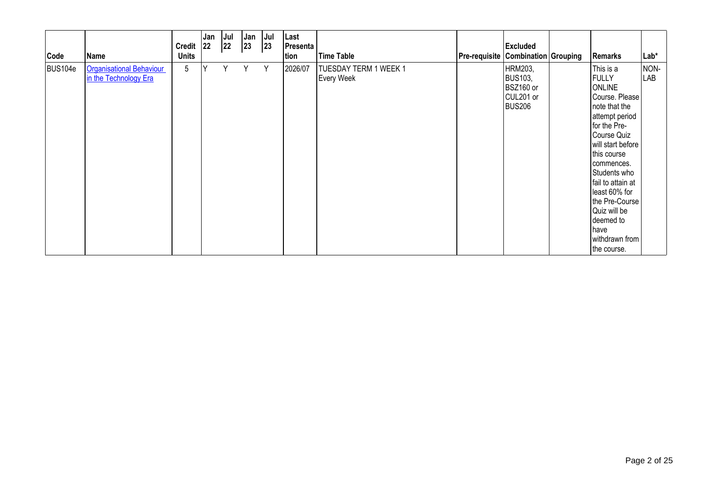| Code    | Name                                                     | <b>Credit</b><br><b>Units</b> | Jan<br>$ 22\rangle$ | Jul<br>22 | Jan<br>23 | Jul<br>23 | Last<br><b>Presenta</b> /<br>tion | <b>Time Table</b>                          | <b>Pre-requisite Combination Grouping</b> | <b>Excluded</b>                                                      | Remarks                                                                                                                                                                                                                                                                                                                                | $Lab*$      |
|---------|----------------------------------------------------------|-------------------------------|---------------------|-----------|-----------|-----------|-----------------------------------|--------------------------------------------|-------------------------------------------|----------------------------------------------------------------------|----------------------------------------------------------------------------------------------------------------------------------------------------------------------------------------------------------------------------------------------------------------------------------------------------------------------------------------|-------------|
| BUS104e | <b>Organisational Behaviour</b><br>in the Technology Era | 5                             | v                   | Υ         | Y         | Y         | 2026/07                           | TUESDAY TERM 1 WEEK 1<br><b>Every Week</b> |                                           | HRM203,<br><b>BUS103,</b><br>BSZ160 or<br>CUL201 or<br><b>BUS206</b> | This is a<br><b>FULLY</b><br><b>ONLINE</b><br>Course. Please<br>note that the<br>attempt period<br>for the Pre-<br>Course Quiz<br>will start before<br>this course<br>commences.<br>Students who<br>fail to attain at<br>least 60% for<br>the Pre-Course<br>Quiz will be<br>deemed to<br><b>Thave</b><br>withdrawn from<br>the course. | NON-<br>LAB |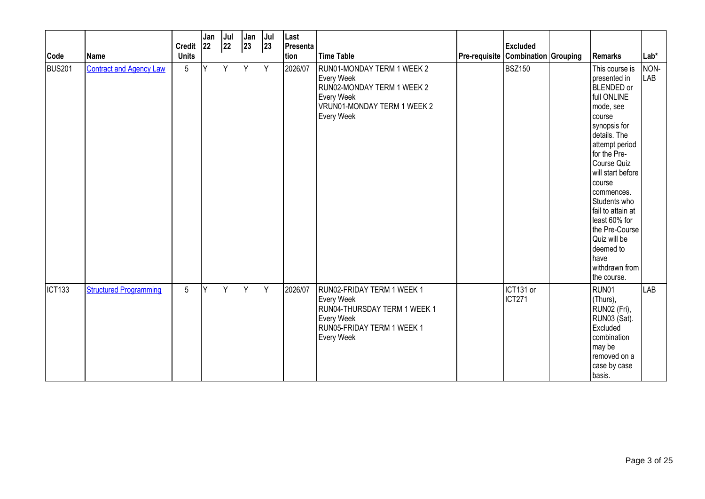| Code               | <b>Name</b>                    | Credit 22<br><b>Units</b> | Jan | Jul <br>22 | Jan<br>$ 23\rangle$ | Jul<br> 23 | Last<br>Presenta<br>tion | <b>Time Table</b>                                                                                                                                       | <b>Excluded</b><br>Pre-requisite Combination Grouping | Remarks                                                                                                                                                                                                                                                                                                                                                                        | Lab*               |
|--------------------|--------------------------------|---------------------------|-----|------------|---------------------|------------|--------------------------|---------------------------------------------------------------------------------------------------------------------------------------------------------|-------------------------------------------------------|--------------------------------------------------------------------------------------------------------------------------------------------------------------------------------------------------------------------------------------------------------------------------------------------------------------------------------------------------------------------------------|--------------------|
| <b>BUS201</b>      | <b>Contract and Agency Law</b> | $5\phantom{.0}$           | lY. | Y          | Y                   | Y          | 2026/07                  | RUN01-MONDAY TERM 1 WEEK 2<br><b>Every Week</b><br>RUN02-MONDAY TERM 1 WEEK 2<br><b>Every Week</b><br>VRUN01-MONDAY TERM 1 WEEK 2<br><b>Every Week</b>  | <b>BSZ150</b>                                         | This course is<br>presented in<br><b>BLENDED</b> or<br>full ONLINE<br>mode, see<br>Icourse<br>synopsis for<br>details. The<br>attempt period<br>for the Pre-<br>Course Quiz<br>will start before<br><b>c</b> ourse<br>commences.<br>Students who<br>fail to attain at<br>least 60% for<br>the Pre-Course<br>Quiz will be<br>deemed to<br>have<br>withdrawn from<br>the course. | NON-<br><b>LAB</b> |
| ICT <sub>133</sub> | <b>Structured Programming</b>  | $5\phantom{.0}$           | Y   | Y.         | Y                   | Y          | 2026/07                  | RUN02-FRIDAY TERM 1 WEEK 1<br><b>Every Week</b><br>RUN04-THURSDAY TERM 1 WEEK 1<br><b>Every Week</b><br>RUN05-FRIDAY TERM 1 WEEK 1<br><b>Every Week</b> | ICT131 or<br><b>ICT271</b>                            | RUN01<br>(Thurs),<br>RUN02 (Fri),<br>RUN03 (Sat).<br>Excluded<br>combination<br>may be<br>removed on a<br>case by case<br>basis.                                                                                                                                                                                                                                               | LAB                |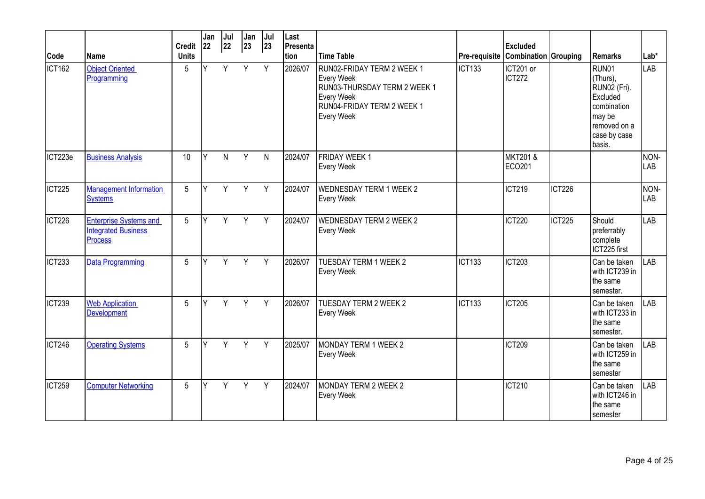| Code               | Name                                                                          | <b>Credit</b><br><b>Units</b> | Jan<br>22 | Jul<br>22 | Jan<br>23 | Jul<br>23 | Last<br>Presenta<br>tion | <b>Time Table</b>                                                                                                                                |               | <b>Excluded</b><br>Pre-requisite Combination Grouping |               | Remarks                                                                                                          | $Lab*$      |
|--------------------|-------------------------------------------------------------------------------|-------------------------------|-----------|-----------|-----------|-----------|--------------------------|--------------------------------------------------------------------------------------------------------------------------------------------------|---------------|-------------------------------------------------------|---------------|------------------------------------------------------------------------------------------------------------------|-------------|
| ICT <sub>162</sub> | <b>Object Oriented</b><br>Programming                                         | 5                             | Y         | Y         | Y         | Y         | 2026/07                  | RUN02-FRIDAY TERM 2 WEEK 1<br><b>Every Week</b><br>RUN03-THURSDAY TERM 2 WEEK 1<br><b>Every Week</b><br>RUN04-FRIDAY TERM 2 WEEK 1<br>Every Week | <b>ICT133</b> | ICT201 or<br><b>ICT272</b>                            |               | RUN01<br>(Thurs),<br>RUN02 (Fri).<br>Excluded<br>combination<br>may be<br>removed on a<br>case by case<br>basis. | <b>LAB</b>  |
| ICT223e            | <b>Business Analysis</b>                                                      | 10                            | Υ         | N.        | Y         | N         | 2024/07                  | <b>FRIDAY WEEK1</b><br><b>Every Week</b>                                                                                                         |               | <b>MKT201 &amp;</b><br>ECO201                         |               |                                                                                                                  | NON-<br>LAB |
| ICT <sub>225</sub> | <b>Management Information</b><br><b>Systems</b>                               | 5                             | Y         | Y         | Y         | Y         | 2024/07                  | <b>WEDNESDAY TERM 1 WEEK 2</b><br><b>Every Week</b>                                                                                              |               | <b>ICT219</b>                                         | <b>ICT226</b> |                                                                                                                  | NON-<br>LAB |
| ICT226             | <b>Enterprise Systems and</b><br><b>Integrated Business</b><br><b>Process</b> | 5                             | Y         | Y         | Y         | Y         | 2024/07                  | <b>WEDNESDAY TERM 2 WEEK 2</b><br><b>Every Week</b>                                                                                              |               | ICT220                                                | ICT225        | Should<br>preferrably<br>complete<br>ICT225 first                                                                | LAB         |
| ICT <sub>233</sub> | <b>Data Programming</b>                                                       | 5                             | Y         | Y         | Y         | Y         | 2026/07                  | <b>TUESDAY TERM 1 WEEK 2</b><br><b>Every Week</b>                                                                                                | <b>ICT133</b> | <b>ICT203</b>                                         |               | Can be taken<br>with ICT239 in<br>the same<br>semester.                                                          | <b>LAB</b>  |
| ICT239             | <b>Web Application</b><br><b>Development</b>                                  | 5                             | Υ         | Y.        | Y         | Y         | 2026/07                  | <b>TUESDAY TERM 2 WEEK 2</b><br><b>Every Week</b>                                                                                                | <b>ICT133</b> | <b>ICT205</b>                                         |               | Can be taken<br>with ICT233 in<br>the same<br>semester.                                                          | LAB         |
| ICT246             | <b>Operating Systems</b>                                                      | 5                             | γ         | Y         | Y         | Y         | 2025/07                  | MONDAY TERM 1 WEEK 2<br><b>Every Week</b>                                                                                                        |               | <b>ICT209</b>                                         |               | Can be taken<br>with ICT259 in<br>the same<br>semester                                                           | <b>LAB</b>  |
| ICT259             | <b>Computer Networking</b>                                                    | 5                             | ٧         | Y         | Y         | Y         | 2024/07                  | MONDAY TERM 2 WEEK 2<br><b>Every Week</b>                                                                                                        |               | <b>ICT210</b>                                         |               | Can be taken<br>with ICT246 in<br>the same<br>semester                                                           | <b>LAB</b>  |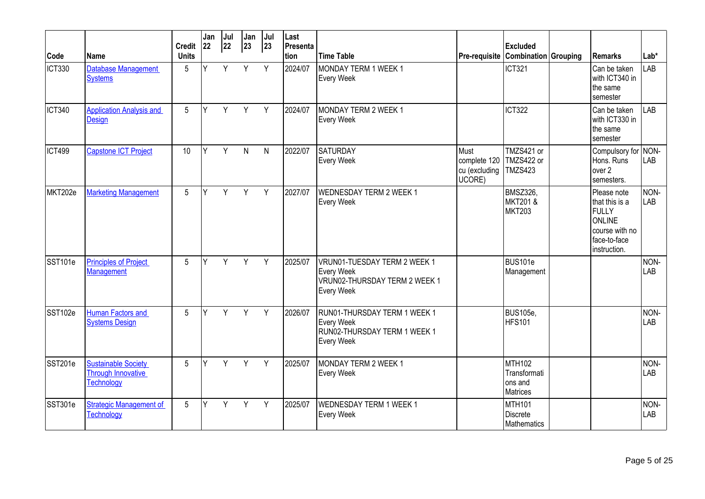| Code          | <b>Name</b>                                                           | <b>Credit</b><br><b>Units</b> | Jan<br>22 | Jul<br>22 | Jan<br>$ 23\rangle$ | Jul<br>$ 23\rangle$ | Last<br>Presenta<br>tion | <b>Time Table</b>                                                                                       |                                                 | <b>Excluded</b><br><b>Pre-requisite Combination Grouping</b> | l Remarks                                                                                          | $Lab*$      |
|---------------|-----------------------------------------------------------------------|-------------------------------|-----------|-----------|---------------------|---------------------|--------------------------|---------------------------------------------------------------------------------------------------------|-------------------------------------------------|--------------------------------------------------------------|----------------------------------------------------------------------------------------------------|-------------|
| <b>ICT330</b> | <b>Database Management</b><br><b>Systems</b>                          | 5                             | Y         | Y         | Y                   | Y                   | 2024/07                  | MONDAY TERM 1 WEEK 1<br><b>Every Week</b>                                                               |                                                 | <b>ICT321</b>                                                | Can be taken<br>with ICT340 in<br>the same<br>Isemester                                            | LAB         |
| <b>ICT340</b> | <b>Application Analysis and</b><br>Design                             | 5                             | Υ         | Y         | Y                   | Y                   | 2024/07                  | MONDAY TERM 2 WEEK 1<br><b>Every Week</b>                                                               |                                                 | ICT322                                                       | Can be taken<br>with ICT330 in<br>the same<br>semester                                             | LAB         |
| <b>ICT499</b> | <b>Capstone ICT Project</b>                                           | 10                            | Y         | Y         | $\mathsf{N}$        | $\mathsf{N}$        | 2022/07                  | <b>SATURDAY</b><br><b>Every Week</b>                                                                    | Must<br>complete 120<br>cu (excluding<br>UCORE) | TMZS421 or<br>TMZS422 or<br><b>TMZS423</b>                   | Compulsory for<br>Hons. Runs<br>over 2<br>semesters.                                               | NON-<br>LAB |
| MKT202e       | <b>Marketing Management</b>                                           | 5                             | Υ         | Y         | Y                   | Y                   | 2027/07                  | <b>WEDNESDAY TERM 2 WEEK 1</b><br><b>Every Week</b>                                                     |                                                 | BMSZ326,<br><b>MKT201&amp;</b><br><b>MKT203</b>              | Please note<br>that this is a<br>FULLY<br>ONLINE<br>course with no<br>face-to-face<br>instruction. | NON-<br>LAB |
| SST101e       | <b>Principles of Project</b><br>Management                            | 5                             | Υ         | Y         | $Y -$               | Y                   | 2025/07                  | VRUN01-TUESDAY TERM 2 WEEK 1<br><b>Every Week</b><br>VRUN02-THURSDAY TERM 2 WEEK 1<br><b>Every Week</b> |                                                 | BUS101e<br>Management                                        |                                                                                                    | NON-<br>LAB |
| SST102e       | <b>Human Factors and</b><br><b>Systems Design</b>                     | $5\overline{)}$               | Υ         | Y         | Y                   | Y                   | 2026/07                  | RUN01-THURSDAY TERM 1 WEEK 1<br><b>Every Week</b><br>RUN02-THURSDAY TERM 1 WEEK 1<br><b>Every Week</b>  |                                                 | <b>BUS105e,</b><br>HFS101                                    |                                                                                                    | NON-<br>LAB |
| SST201e       | <b>Sustainable Society</b><br>Through Innovative<br><b>Technology</b> | $5\phantom{.0}$               | Υ         | Y         | Y                   | Y                   | 2025/07                  | MONDAY TERM 2 WEEK 1<br><b>Every Week</b>                                                               |                                                 | <b>MTH102</b><br>Transformati<br>ons and<br><b>Matrices</b>  |                                                                                                    | NON-<br>LAB |
| SST301e       | <b>Strategic Management of</b><br>Technology                          | 5                             | Υ         | Y         | Y                   | Y                   | 2025/07                  | <b>WEDNESDAY TERM 1 WEEK 1</b><br><b>Every Week</b>                                                     |                                                 | <b>MTH101</b><br><b>Discrete</b><br>Mathematics              |                                                                                                    | NON-<br>LAB |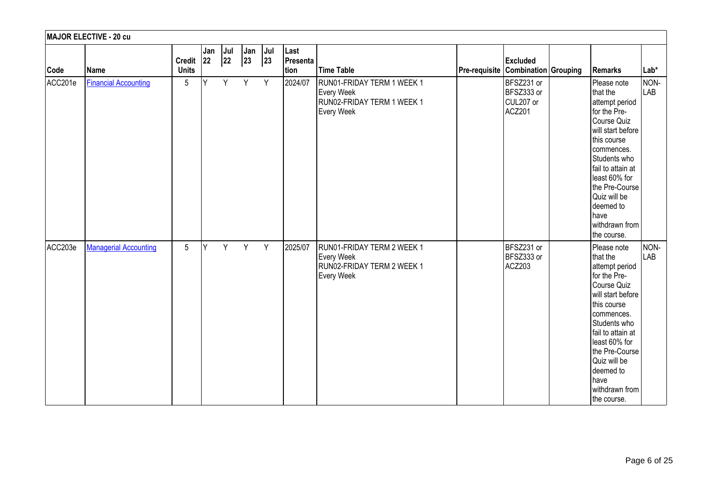|         | MAJOR ELECTIVE - 20 cu       |                               |     |               |           |                |                          |                                                                                             |               |                                                 |  |                                                                                                                                                                                                                                                                          |             |  |
|---------|------------------------------|-------------------------------|-----|---------------|-----------|----------------|--------------------------|---------------------------------------------------------------------------------------------|---------------|-------------------------------------------------|--|--------------------------------------------------------------------------------------------------------------------------------------------------------------------------------------------------------------------------------------------------------------------------|-------------|--|
| Code    | Name                         | Credit $ 22 $<br><b>Units</b> | Jan | $ $ Jul<br>22 | Jan<br>23 | $ $ Jul<br> 23 | Last<br>Presenta<br>tion | Time Table                                                                                  | Pre-requisite | <b>Excluded</b><br><b>Combination Grouping</b>  |  | Remarks                                                                                                                                                                                                                                                                  | Lab*        |  |
| ACC201e | Financial Accounting         | $5\phantom{.0}$               | Y   | Y             | Y         | Y              | 2024/07                  | RUN01-FRIDAY TERM 1 WEEK 1<br><b>Every Week</b><br>RUN02-FRIDAY TERM 1 WEEK 1<br>Every Week |               | BFSZ231 or<br>BFSZ333 or<br>CUL207 or<br>ACZ201 |  | Please note<br>that the<br>attempt period<br>for the Pre-<br>Course Quiz<br>will start before<br>this course<br>commences.<br>Students who<br>fail to attain at<br>least 60% for<br>the Pre-Course<br>Quiz will be<br>deemed to<br>have<br>withdrawn from<br>the course. | NON-<br>LAB |  |
| ACC203e | <b>Managerial Accounting</b> | $5\phantom{.0}$               | Y   | Y             | Y Y       |                | 2025/07                  | RUN01-FRIDAY TERM 2 WEEK 1<br><b>Every Week</b><br>RUN02-FRIDAY TERM 2 WEEK 1<br>Every Week |               | BFSZ231 or<br>BFSZ333 or<br>ACZ203              |  | Please note<br>that the<br>attempt period<br>for the Pre-<br>Course Quiz<br>will start before<br>this course<br>commences.<br>Students who<br>fail to attain at<br>least 60% for<br>the Pre-Course<br>Quiz will be<br>deemed to<br>have<br>withdrawn from<br>the course. | NON-<br>LAB |  |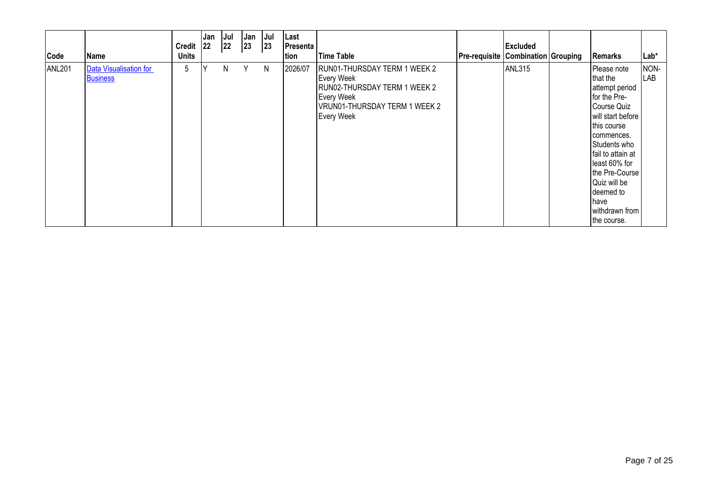| Code          | Name                                      | Credit 22<br><b>Units</b> | Jan | Jul<br> 22 | <sub>I</sub> Jan<br>$ 23\rangle$ | Jul<br> 23 | Last<br>Presenta<br>tion | <b>Time Table</b>                                                                                                                                            | <b>Pre-requisite Combination Grouping</b> | <b>Excluded</b> | Remarks                                                                                                                                                                                                                                                                         | Lab*        |
|---------------|-------------------------------------------|---------------------------|-----|------------|----------------------------------|------------|--------------------------|--------------------------------------------------------------------------------------------------------------------------------------------------------------|-------------------------------------------|-----------------|---------------------------------------------------------------------------------------------------------------------------------------------------------------------------------------------------------------------------------------------------------------------------------|-------------|
| <b>ANL201</b> | Data Visualisation for<br><b>Business</b> | 5                         |     | N          | Υ                                | N          | 2026/07                  | RUN01-THURSDAY TERM 1 WEEK 2<br><b>Every Week</b><br>RUN02-THURSDAY TERM 1 WEEK 2<br><b>Every Week</b><br>VRUN01-THURSDAY TERM 1 WEEK 2<br><b>Every Week</b> |                                           | <b>ANL315</b>   | Please note<br>that the<br>attempt period<br>for the Pre-<br>Course Quiz<br>will start before<br>this course<br>commences.<br>Students who<br>fail to attain at<br>least 60% for<br>the Pre-Course<br>Quiz will be<br>deemed to<br><b>have</b><br>withdrawn from<br>the course. | NON-<br>LAB |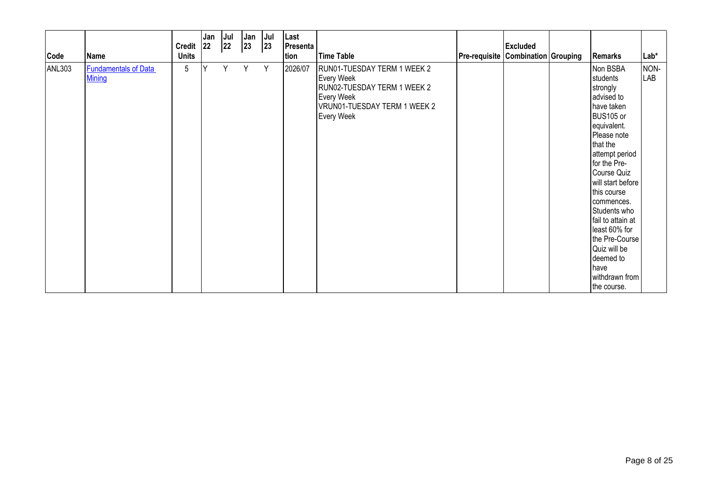| Code          | Name                                         | Credit 22<br><b>Units</b> | Jan | Jul<br> 22 | Jan<br>$ 23\rangle$ | Jul<br> 23 | Last<br>Presenta<br>tion | <b>Time Table</b>                                                                                                                                  | <b>Pre-requisite Combination Grouping</b> | <b>Excluded</b> | Remarks                                                                                                                                                                                                                                                                                                                                                                      | $Lab*$      |
|---------------|----------------------------------------------|---------------------------|-----|------------|---------------------|------------|--------------------------|----------------------------------------------------------------------------------------------------------------------------------------------------|-------------------------------------------|-----------------|------------------------------------------------------------------------------------------------------------------------------------------------------------------------------------------------------------------------------------------------------------------------------------------------------------------------------------------------------------------------------|-------------|
| <b>ANL303</b> | <b>Fundamentals of Data</b><br><b>Mining</b> | 5                         | Υ   | Y          | Y                   | Y          | 2026/07                  | RUN01-TUESDAY TERM 1 WEEK 2<br><b>Every Week</b><br>RUN02-TUESDAY TERM 1 WEEK 2<br><b>Every Week</b><br>VRUN01-TUESDAY TERM 1 WEEK 2<br>Every Week |                                           |                 | Non BSBA<br>students<br>strongly<br>advised to<br>have taken<br>BUS105 or<br>equivalent.<br>Please note<br>that the<br>attempt period<br>for the Pre-<br>Course Quiz<br>will start before<br>this course<br>commences.<br>Students who<br>fail to attain at<br>least 60% for<br>the Pre-Course<br>Quiz will be<br>deemed to<br><b>Ihave</b><br>withdrawn from<br>the course. | NON-<br>LAB |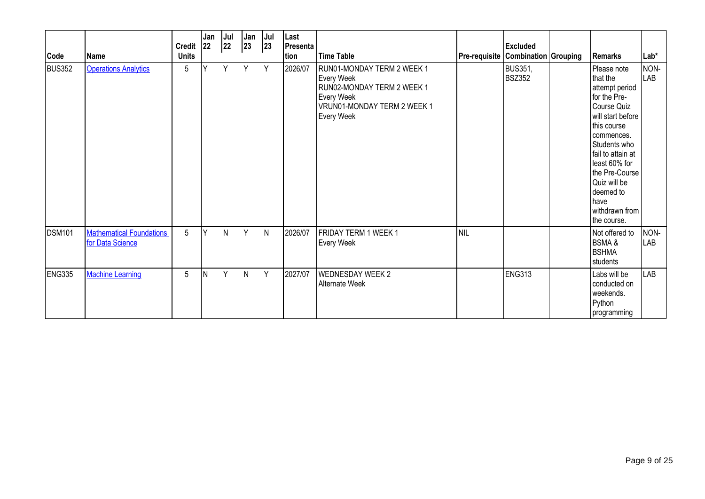| Code          | lName                                               | Credit 22<br><b>Units</b> | Jan | Jul<br>22 | Jan<br> 23   | Jul<br>23    | Last<br>Presenta<br>tion | <b>Time Table</b>                                                                                                                                      | <b>Pre-requisite Combination Grouping</b> | <b>Excluded</b>                 | <b>Remarks</b>                                                                                                                                                                                                                                                           | Lab*        |
|---------------|-----------------------------------------------------|---------------------------|-----|-----------|--------------|--------------|--------------------------|--------------------------------------------------------------------------------------------------------------------------------------------------------|-------------------------------------------|---------------------------------|--------------------------------------------------------------------------------------------------------------------------------------------------------------------------------------------------------------------------------------------------------------------------|-------------|
| <b>BUS352</b> | <b>Operations Analytics</b>                         | $\overline{5}$            | v   | Y         | Y            | Y            | 2026/07                  | RUN01-MONDAY TERM 2 WEEK 1<br><b>Every Week</b><br>RUN02-MONDAY TERM 2 WEEK 1<br><b>Every Week</b><br>VRUN01-MONDAY TERM 2 WEEK 1<br><b>Every Week</b> |                                           | <b>BUS351,</b><br><b>BSZ352</b> | Please note<br>that the<br>attempt period<br>for the Pre-<br>Course Quiz<br>will start before<br>this course<br>commences.<br>Students who<br>fail to attain at<br>least 60% for<br>the Pre-Course<br>Quiz will be<br>deemed to<br>have<br>withdrawn from<br>the course. | NON-<br>LAB |
| <b>DSM101</b> | <b>Mathematical Foundations</b><br>for Data Science | $5\phantom{.0}$           | Y   | N         | Y            | $\mathsf{N}$ | 2026/07                  | FRIDAY TERM 1 WEEK 1<br><b>Every Week</b>                                                                                                              | Inil                                      |                                 | Not offered to<br><b>BSMA&amp;</b><br>Ibshma<br>students                                                                                                                                                                                                                 | NON-<br>LAB |
| ENG335        | <b>Machine Learning</b>                             | 5                         | IN. | Y         | $\mathsf{N}$ | Y            | 2027/07                  | <b>WEDNESDAY WEEK 2</b><br>Alternate Week                                                                                                              |                                           | <b>ENG313</b>                   | Labs will be<br>conducted on<br>weekends.<br>Python<br>programming                                                                                                                                                                                                       | LAB         |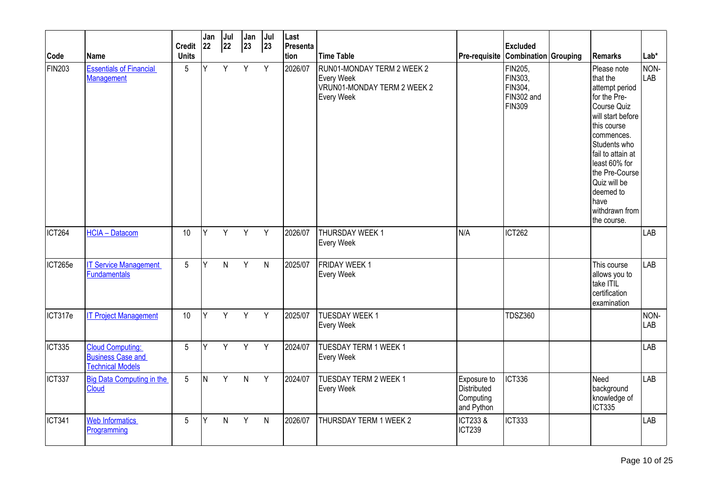|                    |                                                                                | <b>Credit</b>   | Jan<br>22 | Jul<br>22 | Jan<br>$ 23\rangle$ | $ $ Jul<br> 23 | Last<br>Presenta |                                                                                              |                                                       | <b>Excluded</b>                                              |                                                                                                                                                                                                                                                                          |                    |
|--------------------|--------------------------------------------------------------------------------|-----------------|-----------|-----------|---------------------|----------------|------------------|----------------------------------------------------------------------------------------------|-------------------------------------------------------|--------------------------------------------------------------|--------------------------------------------------------------------------------------------------------------------------------------------------------------------------------------------------------------------------------------------------------------------------|--------------------|
| Code               | Name                                                                           | <b>Units</b>    |           |           |                     |                | tion             | <b>Time Table</b>                                                                            | Pre-requisite                                         | Combination Grouping                                         | <b>I</b> Remarks                                                                                                                                                                                                                                                         | $Lab*$             |
| FIN <sub>203</sub> | <b>Essentials of Financial</b><br>Management                                   | 5               | Y         | Y         | Y                   | Y              | 2026/07          | RUN01-MONDAY TERM 2 WEEK 2<br><b>Every Week</b><br>VRUN01-MONDAY TERM 2 WEEK 2<br>Every Week |                                                       | FIN205,<br>FIN303,<br>FIN304,<br>FIN302 and<br><b>FIN309</b> | Please note<br>that the<br>attempt period<br>for the Pre-<br>Course Quiz<br>will start before<br>this course<br>commences.<br>Students who<br>fail to attain at<br>least 60% for<br>the Pre-Course<br>Quiz will be<br>deemed to<br>have<br>withdrawn from<br>the course. | NON-<br><b>LAB</b> |
| ICT <sub>264</sub> | <b>HCIA - Datacom</b>                                                          | 10              | Y         | Y         | Y                   | Y              | 2026/07          | <b>THURSDAY WEEK1</b><br><b>Every Week</b>                                                   | N/A                                                   | <b>ICT262</b>                                                |                                                                                                                                                                                                                                                                          | <b>LAB</b>         |
| ICT265e            | <b>IT Service Management</b><br><b>Fundamentals</b>                            | 5               | Y         | N         | Y                   | $\mathsf{N}$   | 2025/07          | <b>FRIDAY WEEK 1</b><br>Every Week                                                           |                                                       |                                                              | This course<br>allows you to<br>take ITİL<br>certification<br>examination                                                                                                                                                                                                | LAB                |
| ICT317e            | <b>IT Project Management</b>                                                   | 10              | Y         | Y         | $\sqrt{Y}$          | Y              | 2025/07          | <b>TUESDAY WEEK 1</b><br>Every Week                                                          |                                                       | <b>TDSZ360</b>                                               |                                                                                                                                                                                                                                                                          | NON-<br><b>LAB</b> |
| ICT335             | <b>Cloud Computing:</b><br><b>Business Case and</b><br><b>Technical Models</b> | 5               | Y         | Y         | Y                   | Y              | 2024/07          | TUESDAY TERM 1 WEEK 1<br>Every Week                                                          |                                                       |                                                              |                                                                                                                                                                                                                                                                          | LAB                |
| ICT337             | <b>Big Data Computing in the</b><br>Cloud                                      | $5\overline{)}$ | IN.       | Y         | $\overline{N}$      | Y              | 2024/07          | <b>TUESDAY TERM 2 WEEK 1</b><br><b>Every Week</b>                                            | Exposure to<br>Distributed<br>Computing<br>and Python | <b>ICT336</b>                                                | Need<br>background<br>knowledge of<br><b>ICT335</b>                                                                                                                                                                                                                      | LAB                |
| <b>ICT341</b>      | <b>Web Informatics</b><br>Programming                                          | 5               | Υ         | N         | Y                   | $\mathsf{N}$   | 2026/07          | THURSDAY TERM 1 WEEK 2                                                                       | ICT233 &<br><b>ICT239</b>                             | <b>ICT333</b>                                                |                                                                                                                                                                                                                                                                          | LAB                |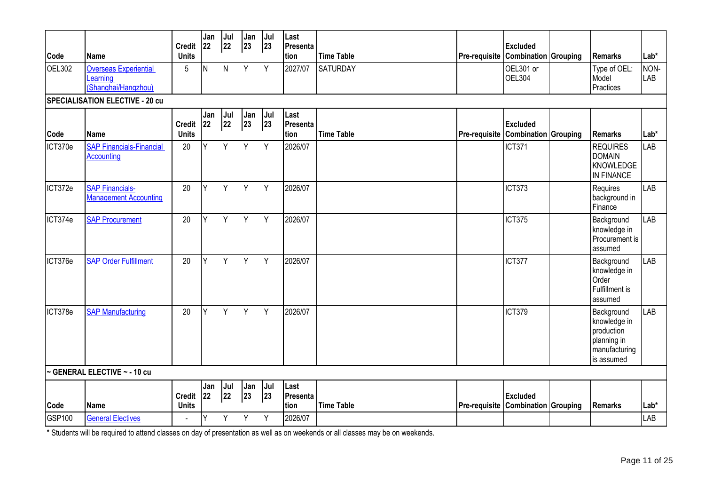|                |                                                                 | Credit 22                                | Jan        | Jul<br>22 | Jan<br>$ 23\rangle$ | Jul<br>23 | Last<br>Presenta         |                   |               | <b>Excluded</b>                                       |                                                                                        |                    |
|----------------|-----------------------------------------------------------------|------------------------------------------|------------|-----------|---------------------|-----------|--------------------------|-------------------|---------------|-------------------------------------------------------|----------------------------------------------------------------------------------------|--------------------|
| Code           | Name                                                            | <b>Units</b>                             |            |           |                     |           | tion                     | <b>Time Table</b> |               | Pre-requisite   Combination   Grouping                | <b>Remarks</b>                                                                         | $Lab*$             |
| OEL302         | <b>Overseas Experiential</b><br>Learning<br>(Shanghai/Hangzhou) | 5                                        | N          | N.        | Y                   | Y         | 2027/07                  | <b>SATURDAY</b>   |               | OEL301 or<br><b>OEL304</b>                            | Type of OEL:<br>Model<br>Practices                                                     | NON-<br><b>LAB</b> |
|                | <b>SPECIALISATION ELECTIVE - 20 cu</b>                          |                                          |            |           |                     |           |                          |                   |               |                                                       |                                                                                        |                    |
| Code           | Name                                                            | Credit 22<br><b>Units</b>                | Jan        | Jul<br>22 | Jan<br>23           | Jul<br>23 | Last<br>Presenta<br>tion | <b>Time Table</b> |               | <b>Excluded</b><br>Pre-requisite Combination Grouping | <b>Remarks</b>                                                                         | Lab*               |
| ICT370e        | <b>SAP Financials-Financial</b><br><b>Accounting</b>            | 20                                       | Y          | Y         | Y                   | Y         | 2026/07                  |                   |               | <b>ICT371</b>                                         | <b>REQUIRES</b><br><b>DOMAIN</b><br>KNOWLEDGE<br>IN FINANCE                            | <b>LAB</b>         |
| ICT372e        | <b>SAP Financials-</b><br><b>Management Accounting</b>          | 20                                       | Y          | Y         | Y                   | Y         | 2026/07                  |                   |               | <b>ICT373</b>                                         | Requires<br>background in<br>Finance                                                   | <b>LAB</b>         |
| ICT374e        | <b>SAP Procurement</b>                                          | 20                                       | Y          | Y         | Y                   | Y         | 2026/07                  |                   |               | <b>ICT375</b>                                         | Background<br>knowledge in<br>Procurement is<br>assumed                                | <b>LAB</b>         |
| ICT376e        | <b>SAP Order Fulfillment</b>                                    | 20                                       | <b>Y</b>   | Y         | Y                   | Y         | 2026/07                  |                   |               | ICT377                                                | Background<br>knowledge in<br>Order<br>Fulfillment is<br>assumed                       | <b>LAB</b>         |
| ICT378e        | <b>SAP Manufacturing</b>                                        | 20                                       | Y          | Y         | Y                   | Y         | 2026/07                  |                   |               | <b>ICT379</b>                                         | Background<br>knowledge in<br>production<br>planning in<br>manufacturing<br>is assumed | <b>LAB</b>         |
|                | ~ GENERAL ELECTIVE ~ - 10 cu                                    |                                          |            |           |                     |           |                          |                   |               |                                                       |                                                                                        |                    |
|                |                                                                 | <b>Credit</b>                            | Jan<br> 22 | Jul<br>22 | Jan<br>23           | Jul<br>23 | Last<br>Presenta         |                   |               | <b>Excluded</b>                                       |                                                                                        |                    |
| Code<br>GSP100 | Name<br><b>General Electives</b>                                | <b>Units</b><br>$\overline{\phantom{a}}$ | Y          | Y -       | Y                   | Y         | tion<br>2026/07          | <b>Time Table</b> | Pre-requisite | <b>Combination Grouping</b>                           | <b>Remarks</b>                                                                         | Lab*<br>LAB        |
|                |                                                                 |                                          |            |           |                     |           |                          |                   |               |                                                       |                                                                                        |                    |

\* Students will be required to attend classes on day of presentation as well as on weekends or all classes may be on weekends.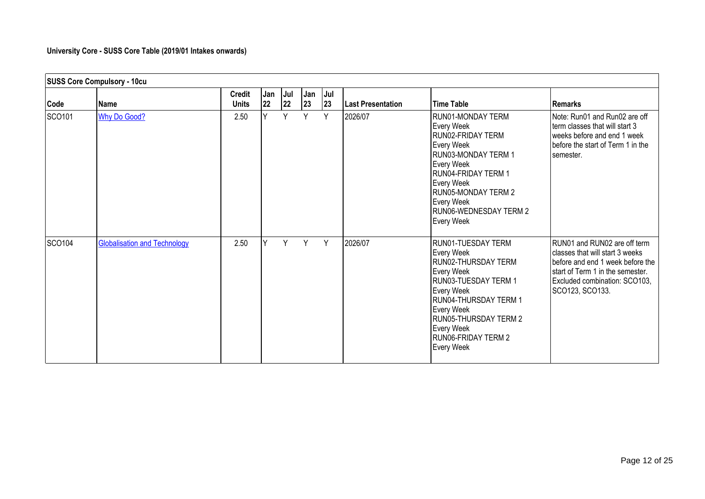## **University Core - SUSS Core Table (2019/01 Intakes onwards)**

|        | <b>SUSS Core Compulsory - 10cu</b>  |                               |           |           |           |           |                          |                                                                                                                                                                                                                                       |                                                                                                                                                                                             |
|--------|-------------------------------------|-------------------------------|-----------|-----------|-----------|-----------|--------------------------|---------------------------------------------------------------------------------------------------------------------------------------------------------------------------------------------------------------------------------------|---------------------------------------------------------------------------------------------------------------------------------------------------------------------------------------------|
| Code   | Name                                | <b>Credit</b><br><b>Units</b> | Jan<br>22 | Jul<br>22 | Jan<br>23 | Jul<br>23 | <b>Last Presentation</b> | <b>Time Table</b>                                                                                                                                                                                                                     | <b>Remarks</b>                                                                                                                                                                              |
| SCO101 | <b>Why Do Good?</b>                 | 2.50                          |           | <b>V</b>  | Y         | Y         | 2026/07                  | RUN01-MONDAY TERM<br>Every Week<br>RUN02-FRIDAY TERM<br>Every Week<br>RUN03-MONDAY TERM 1<br>Every Week<br>IRUN04-FRIDAY TERM 1<br>Every Week<br>RUN05-MONDAY TERM 2<br>Every Week<br>RUN06-WEDNESDAY TERM 2<br>Every Week            | Note: Run01 and Run02 are off<br>term classes that will start 3<br>weeks before and end 1 week<br>before the start of Term 1 in the<br>semester.                                            |
| SCO104 | <b>Globalisation and Technology</b> | 2.50                          | v         | Y         | Y         | Y         | 2026/07                  | RUN01-TUESDAY TERM<br>Every Week<br>RUN02-THURSDAY TERM<br>Every Week<br>RUN03-TUESDAY TERM 1<br>Every Week<br>RUN04-THURSDAY TERM 1<br>Every Week<br>RUN05-THURSDAY TERM 2<br>Every Week<br><b>RUNO6-FRIDAY TERM 2</b><br>Every Week | RUN01 and RUN02 are off term<br>classes that will start 3 weeks<br>before and end 1 week before the<br>start of Term 1 in the semester.<br>Excluded combination: SCO103,<br>SCO123, SCO133. |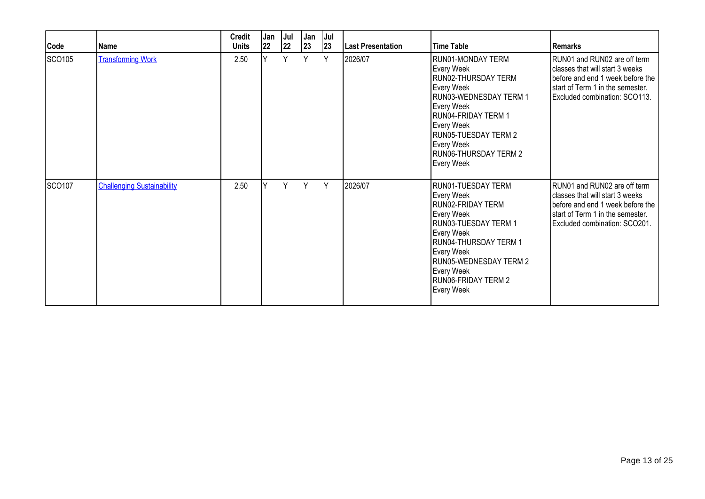| Code          | Name                              | <b>Credit</b><br><b>Units</b> | Jan<br>22 | Jul<br> 22 | Jan<br> 23 | Jul<br>23 | <b>Last Presentation</b> | <b>Time Table</b>                                                                                                                                                                                                              | l Remarks                                                                                                                                                                |
|---------------|-----------------------------------|-------------------------------|-----------|------------|------------|-----------|--------------------------|--------------------------------------------------------------------------------------------------------------------------------------------------------------------------------------------------------------------------------|--------------------------------------------------------------------------------------------------------------------------------------------------------------------------|
| SCO105        | <b>Transforming Work</b>          | 2.50                          | Y         | Υ          | Y          | Y         | 2026/07                  | RUN01-MONDAY TERM<br>Every Week<br>RUN02-THURSDAY TERM<br>Every Week<br>RUN03-WEDNESDAY TERM 1<br>Every Week<br>RUN04-FRIDAY TERM 1<br>Every Week<br>RUN05-TUESDAY TERM 2<br>Every Week<br>RUN06-THURSDAY TERM 2<br>Every Week | RUN01 and RUN02 are off term<br>classes that will start 3 weeks<br>before and end 1 week before the<br>start of Term 1 in the semester.<br>Excluded combination: SCO113. |
| <b>SCO107</b> | <b>Challenging Sustainability</b> | 2.50                          | ٧         | Υ          | Y          | Y         | 2026/07                  | RUN01-TUESDAY TERM<br>Every Week<br>RUN02-FRIDAY TERM<br>Every Week<br>RUN03-TUESDAY TERM 1<br>Every Week<br>RUN04-THURSDAY TERM 1<br>Every Week<br>RUN05-WEDNESDAY TERM 2<br>Every Week<br>RUN06-FRIDAY TERM 2<br>Every Week  | RUN01 and RUN02 are off term<br>classes that will start 3 weeks<br>before and end 1 week before the<br>start of Term 1 in the semester.<br>Excluded combination: SCO201. |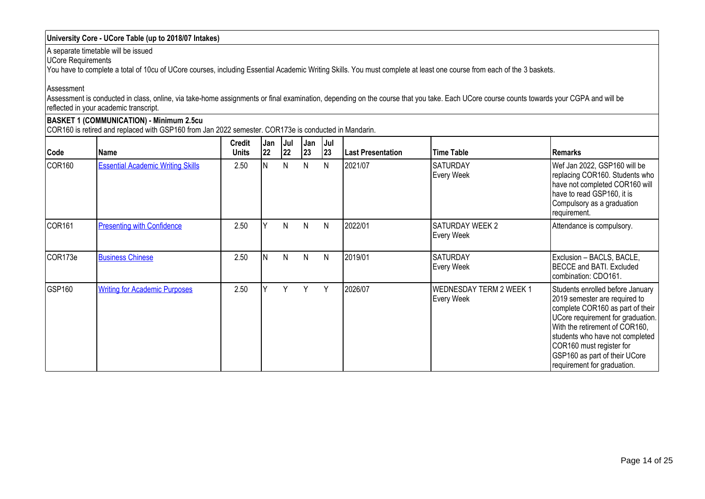## **University Core - UCore Table (up to 2018/07 Intakes)**

A separate timetable will be issued

UCore Requirements

You have to complete a total of 10cu of UCore courses, including Essential Academic Writing Skills. You must complete at least one course from each of the 3 baskets.

Assessment

Assessment is conducted in class, online, via take-home assignments or final examination, depending on the course that you take. Each UCore course counts towards your CGPA and will be reflected in your academic transcript.

#### **BASKET 1 (COMMUNICATION) - Minimum 2.5cu** COR160 is retired and replaced with GSP160 from Jan 2022 semester. COR173e is conducted in Mandarin.

| Code               | Name                                     | <b>Credit</b><br><b>Units</b> | Jan<br> 22 | Jul<br> 22   | Jan<br> 23 | Jul<br>23 | Last Presentation | <b>Time Table</b>                            | l Remarks                                                                                                                                                                                                                                                                                                   |
|--------------------|------------------------------------------|-------------------------------|------------|--------------|------------|-----------|-------------------|----------------------------------------------|-------------------------------------------------------------------------------------------------------------------------------------------------------------------------------------------------------------------------------------------------------------------------------------------------------------|
| COR <sub>160</sub> | <b>Essential Academic Writing Skills</b> | 2.50                          |            | $\mathsf{N}$ | N          | N         | 2021/07           | <b>SATURDAY</b><br>Every Week                | Wef Jan 2022, GSP160 will be<br>replacing COR160. Students who<br>have not completed COR160 will<br>have to read GSP160, it is<br>Compulsory as a graduation<br>requirement.                                                                                                                                |
| COR <sub>161</sub> | <b>Presenting with Confidence</b>        | 2.50                          |            | N            | N          | N         | 2022/01           | <b>SATURDAY WEEK 2</b><br><b>Every Week</b>  | Attendance is compulsory.                                                                                                                                                                                                                                                                                   |
| COR173e            | <b>Business Chinese</b>                  | 2.50                          |            | N            | N          | N         | 2019/01           | <b>SATURDAY</b><br>Every Week                | Exclusion - BACLS, BACLE,<br>BECCE and BATI. Excluded<br>combination: CDO161.                                                                                                                                                                                                                               |
| GSP160             | <b>Writing for Academic Purposes</b>     | 2.50                          |            | ٧            | Y          | Y         | 2026/07           | <b>WEDNESDAY TERM 2 WEEK 1</b><br>Every Week | Students enrolled before January<br>2019 semester are required to<br>complete COR160 as part of their<br>UCore requirement for graduation.<br>With the retirement of COR160,<br>students who have not completed<br>COR160 must register for<br>GSP160 as part of their UCore<br>requirement for graduation. |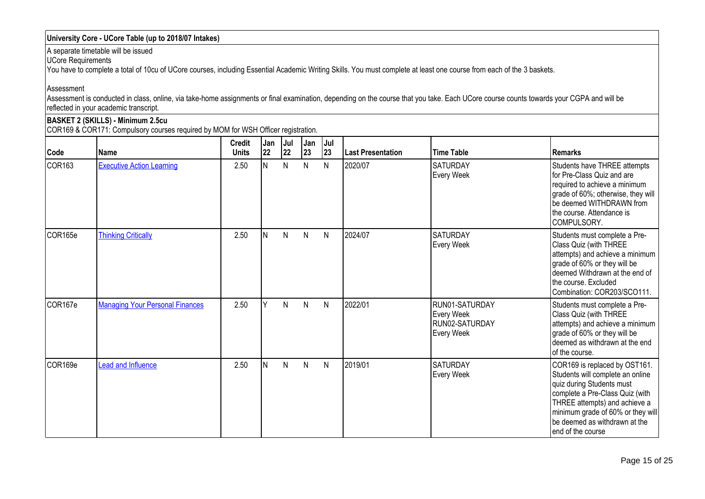## **University Core - UCore Table (up to 2018/07 Intakes)**

A separate timetable will be issued

UCore Requirements

You have to complete a total of 10cu of UCore courses, including Essential Academic Writing Skills. You must complete at least one course from each of the 3 baskets.

Assessment

Assessment is conducted in class, online, via take-home assignments or final examination, depending on the course that you take. Each UCore course counts towards your CGPA and will be reflected in your academic transcript.

### **BASKET 2 (SKILLS) - Minimum 2.5cu**

COR169 & COR171: Compulsory courses required by MOM for WSH Officer registration.

| Code               | <b>Name</b>                            | <b>Credit</b><br><b>Units</b> | Jan<br>22 | Jul<br> 22   | Jan<br>23    | Jul<br>23 | Last Presentation | <b>Time Table</b>                                                   | <b>Remarks</b>                                                                                                                                                                                                                                                 |
|--------------------|----------------------------------------|-------------------------------|-----------|--------------|--------------|-----------|-------------------|---------------------------------------------------------------------|----------------------------------------------------------------------------------------------------------------------------------------------------------------------------------------------------------------------------------------------------------------|
| COR <sub>163</sub> | <b>Executive Action Learning</b>       | 2.50                          | IN.       | N            | N            | N         | 2020/07           | ISATURDAY<br>Every Week                                             | Students have THREE attempts<br>for Pre-Class Quiz and are<br>required to achieve a minimum<br>grade of 60%; otherwise, they will<br>be deemed WITHDRAWN from<br>Ithe course. Attendance is<br>COMPULSORY.                                                     |
| COR165e            | <b>Thinking Critically</b>             | 2.50                          | ΙN        | N            | N            | N         | 2024/07           | <b>SATURDAY</b><br>Every Week                                       | Students must complete a Pre-<br>Class Quiz (with THREE<br>attempts) and achieve a minimum<br>grade of 60% or they will be<br>deemed Withdrawn at the end of<br>the course. Excluded<br>Combination: COR203/SCO111.                                            |
| COR167e            | <b>Managing Your Personal Finances</b> | 2.50                          |           | $\mathsf{N}$ | N            | N         | 2022/01           | RUN01-SATURDAY<br>Every Week<br>RUN02-SATURDAY<br><b>Every Week</b> | Students must complete a Pre-<br>Class Quiz (with THREE<br>attempts) and achieve a minimum<br>grade of 60% or they will be<br>deemed as withdrawn at the end<br><b>l</b> of the course.                                                                        |
| COR169e            | Lead and Influence                     | 2.50                          |           | N            | $\mathsf{N}$ | N         | 2019/01           | <b>SATURDAY</b><br>Every Week                                       | COR169 is replaced by OST161.<br>Students will complete an online<br>quiz during Students must<br>complete a Pre-Class Quiz (with<br>THREE attempts) and achieve a<br>minimum grade of 60% or they will<br>be deemed as withdrawn at the<br>lend of the course |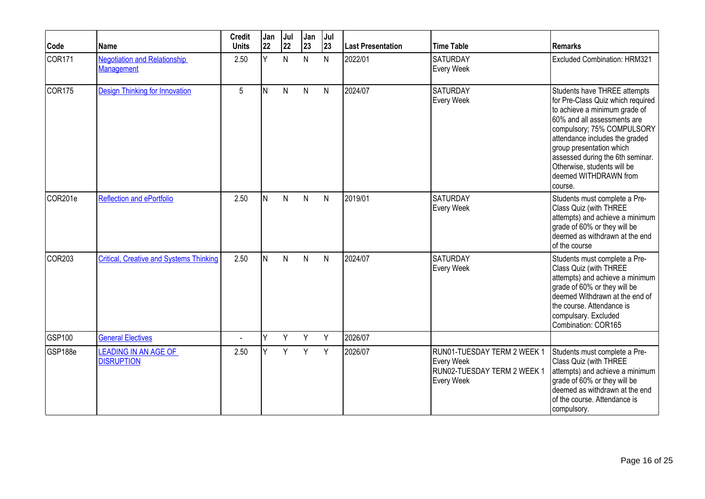| Code                | Name                                                     | <b>Credit</b><br><b>Units</b> | Jan<br>22 | Jul<br>22    | Jan<br>23 | Jul<br> 23   | <b>Last Presentation</b> | <b>Time Table</b>                                                                      | <b>Remarks</b>                                                                                                                                                                                                                                                                                                                       |
|---------------------|----------------------------------------------------------|-------------------------------|-----------|--------------|-----------|--------------|--------------------------|----------------------------------------------------------------------------------------|--------------------------------------------------------------------------------------------------------------------------------------------------------------------------------------------------------------------------------------------------------------------------------------------------------------------------------------|
| COR <sub>171</sub>  | <b>Negotiation and Relationship</b><br><b>Management</b> | 2.50                          | Ÿ         | $\mathsf{N}$ | N         | $\mathsf{N}$ | 2022/01                  | <b>SATURDAY</b><br>Every Week                                                          | <b>Excluded Combination: HRM321</b>                                                                                                                                                                                                                                                                                                  |
| COR <sub>175</sub>  | <b>Design Thinking for Innovation</b>                    | 5                             | IN.       | N            | N         | N            | 2024/07                  | <b>SATURDAY</b><br>Every Week                                                          | Students have THREE attempts<br>for Pre-Class Quiz which required<br>to achieve a minimum grade of<br>60% and all assessments are<br>compulsory; 75% COMPULSORY<br>attendance includes the graded<br>group presentation which<br>assessed during the 6th seminar.<br>Otherwise, students will be<br>deemed WITHDRAWN from<br>course. |
| COR <sub>201e</sub> | <b>Reflection and ePortfolio</b>                         | 2.50                          | IN.       | N            | N         | $\mathsf{N}$ | 2019/01                  | <b>SATURDAY</b><br>Every Week                                                          | Students must complete a Pre-<br>Class Quiz (with THREE<br>attempts) and achieve a minimum<br>grade of 60% or they will be<br>deemed as withdrawn at the end<br>of the course                                                                                                                                                        |
| COR <sub>203</sub>  | <b>Critical, Creative and Systems Thinking</b>           | 2.50                          | IN.       | N            | N         | N            | 2024/07                  | SATURDAY<br>Every Week                                                                 | Students must complete a Pre-<br>Class Quiz (with THREE<br>attempts) and achieve a minimum<br>grade of 60% or they will be<br>deemed Withdrawn at the end of<br>the course. Attendance is<br>compulsary. Excluded<br>Combination: COR165                                                                                             |
| GSP100              | <b>General Electives</b>                                 | ä,                            | lΥ        | Y            | Y         | Y            | 2026/07                  |                                                                                        |                                                                                                                                                                                                                                                                                                                                      |
| GSP188e             | <b>LEADING IN AN AGE OF</b><br><b>DISRUPTION</b>         | 2.50                          | v         | Y            | Y         | Y            | 2026/07                  | RUN01-TUESDAY TERM 2 WEEK 1<br>Every Week<br>RUN02-TUESDAY TERM 2 WEEK 1<br>Every Week | Students must complete a Pre-<br>Class Quiz (with THREE<br>attempts) and achieve a minimum<br>grade of 60% or they will be<br>deemed as withdrawn at the end<br>of the course. Attendance is<br>compulsory.                                                                                                                          |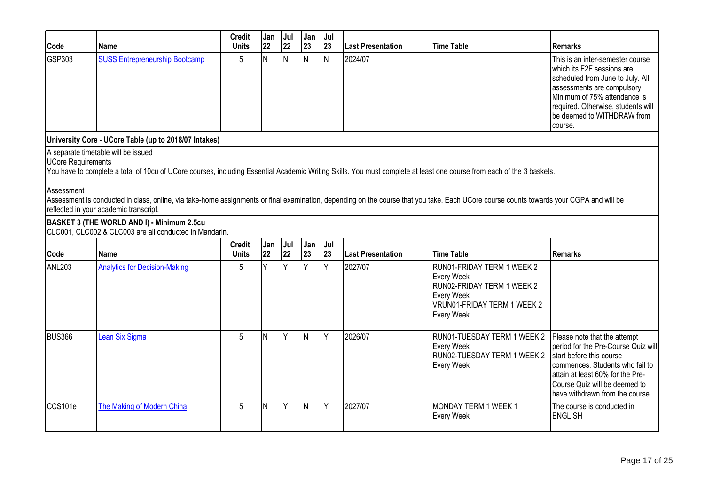| Code               | l Name                                                | <b>Credit</b><br>Units | Jan<br> 22 | Jul<br> 22 | <b>Jan</b><br> 23 | $ J$ ul<br> 23 | l Last Presentation | Time Table | <b>IRemarks</b>                                                                                                                                                                                                                                    |
|--------------------|-------------------------------------------------------|------------------------|------------|------------|-------------------|----------------|---------------------|------------|----------------------------------------------------------------------------------------------------------------------------------------------------------------------------------------------------------------------------------------------------|
| GSP303             | <b>SUSS Entrepreneurship Bootcamp</b>                 | 5                      |            | N          | N                 | N              | 2024/07             |            | This is an inter-semester course<br>I which its F2F sessions are<br>scheduled from June to July. All<br>assessments are compulsory.<br>Minimum of 75% attendance is<br>required. Otherwise, students will<br>be deemed to WITHDRAW from<br>course. |
|                    | University Core - UCore Table (up to 2018/07 Intakes) |                        |            |            |                   |                |                     |            |                                                                                                                                                                                                                                                    |
| UCore Requirements | A separate timetable will be issued                   |                        |            |            |                   |                |                     |            |                                                                                                                                                                                                                                                    |

You have to complete a total of 10cu of UCore courses, including Essential Academic Writing Skills. You must complete at least one course from each of the 3 baskets.

#### Assessment

Assessment is conducted in class, online, via take-home assignments or final examination, depending on the course that you take. Each UCore course counts towards your CGPA and will be reflected in your academic transcript.

#### **BASKET 3 (THE WORLD AND I) - Minimum 2.5cu** CLC001, CLC002 & CLC003 are all conducted in Mandarin.

| Code          | <b>Name</b>                          | <b>Credit</b><br><b>Units</b> | Jan<br>22 | Jul<br> 22   | <b>Jan</b><br> 23 | <b>Jul</b><br> 23 | <b>Last Presentation</b> | <b>Time Table</b>                                                                                                                        | l Remarks                                                                                                                                                                                                                                  |
|---------------|--------------------------------------|-------------------------------|-----------|--------------|-------------------|-------------------|--------------------------|------------------------------------------------------------------------------------------------------------------------------------------|--------------------------------------------------------------------------------------------------------------------------------------------------------------------------------------------------------------------------------------------|
| ANL203        | <b>Analytics for Decision-Making</b> | 5                             |           | $\checkmark$ | $\vee$            | Y                 | 2027/07                  | RUN01-FRIDAY TERM 1 WEEK 2<br>Every Week<br>RUN02-FRIDAY TERM 1 WEEK 2<br>Every Week<br>VRUN01-FRIDAY TERM 1 WEEK 2<br><b>Every Week</b> |                                                                                                                                                                                                                                            |
| <b>BUS366</b> | <b>Lean Six Sigma</b>                | 5                             | N.        | Υ            | N.                | Y                 | 2026/07                  | RUN01-TUESDAY TERM 1 WEEK 2<br>Every Week<br>RUN02-TUESDAY TERM 1 WEEK 2<br>Every Week                                                   | Please note that the attempt<br>period for the Pre-Course Quiz will<br>start before this course<br>commences. Students who fail to<br>attain at least 60% for the Pre-<br>Course Quiz will be deemed to<br>have withdrawn from the course. |
| CCS101e       | The Making of Modern China           | 5                             |           | Y            | N.                | Υ                 | 2027/07                  | MONDAY TERM 1 WEEK 1<br>Every Week                                                                                                       | The course is conducted in<br><b>ENGLISH</b>                                                                                                                                                                                               |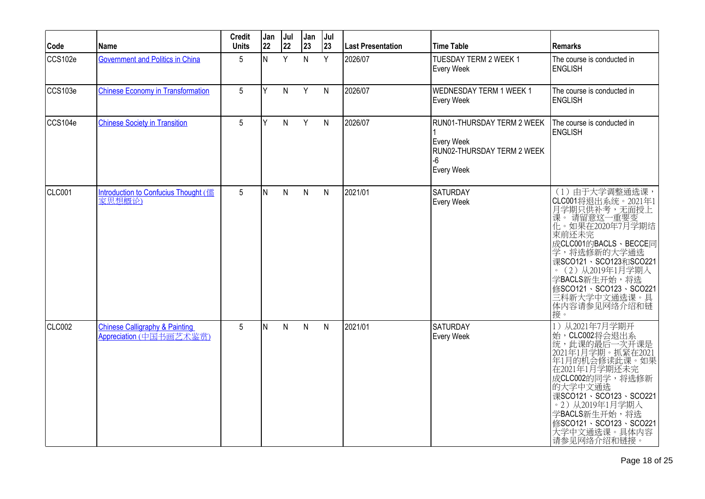| Code    | Name                                                                 | <b>Credit</b><br><b>Units</b> | Jan<br> 22 | Jul<br>22    | Jan<br>23    | Jul<br>23    | Last Presentation | <b>Time Table</b>                                                                          | <b>Remarks</b>                                                                                                                                                                                                                                                    |
|---------|----------------------------------------------------------------------|-------------------------------|------------|--------------|--------------|--------------|-------------------|--------------------------------------------------------------------------------------------|-------------------------------------------------------------------------------------------------------------------------------------------------------------------------------------------------------------------------------------------------------------------|
| CCS102e | <b>Government and Politics in China</b>                              | 5 <sup>5</sup>                | IN.        | Y            | N            | Y            | 2026/07           | <b>TUESDAY TERM 2 WEEK 1</b><br>Every Week                                                 | The course is conducted in<br><b>ENGLISH</b>                                                                                                                                                                                                                      |
| CCS103e | <b>Chinese Economy in Transformation</b>                             | 5                             | lY.        | $\mathsf{N}$ | Y            | $\mathsf{N}$ | 2026/07           | <b>WEDNESDAY TERM 1 WEEK 1</b><br>Every Week                                               | The course is conducted in<br><b>ENGLISH</b>                                                                                                                                                                                                                      |
| CCS104e | <b>Chinese Society in Transition</b>                                 | 5                             | İΥ         | N            | Y            | N            | 2026/07           | RUN01-THURSDAY TERM 2 WEEK<br>Every Week<br>RUN02-THURSDAY TERM 2 WEEK<br>-6<br>Every Week | The course is conducted in<br><b>ENGLISH</b>                                                                                                                                                                                                                      |
| CLC001  | Introduction to Confucius Thought (儒<br>家思想概论)                       | 5                             | IN.        | N            | $\mathsf{N}$ | $\mathsf{N}$ | 2021/01           | <b>SATURDAY</b><br>Every Week                                                              | (1) 由于大学调整通选课,<br>CLC001将退出系统。2021年1<br>月学期只供补考,无面授上<br>课。请留意这一重要变<br>化。如果在2020年7月学期结<br>東前还未完<br>成CLC001的BACLS、BECCE同<br>学,将选修新的大学通选<br>课SCO121、SCO123和SCO221<br>。(2)从2019年1月学期入<br>学BACLS新生开始,将选<br>修SCO121、SCO123、SCO221<br>三科新大学中文通选课。具<br>体内容请参见网络介绍和链<br>接。 |
| CLC002  | <b>Chinese Calligraphy &amp; Painting</b><br>Appreciation (中国书画艺术鉴赏) | 5                             | IN.        | $\mathsf{N}$ | $\mathsf{N}$ | N            | 2021/01           | <b>SATURDAY</b><br>Every Week                                                              | 1) 从2021年7月学期开<br>始,CLC002将会退出系<br>统,此课的最后一次开课是<br>)3, 1年1月学期 - 抓紧在2021<br>年1月的机会修读此课。如果<br>在2021年1月学期还未完<br>成CLC002的同学,将选修新<br>的大学中文通选<br>课SCO121、SCO123、SCO221<br>。2) 从2019年1月学期入<br>学BACLS新生开始,将选<br>修SCO121、SCO123、SCO221<br>大学中文通选课。具体内容<br>请参见网络介绍和链接。      |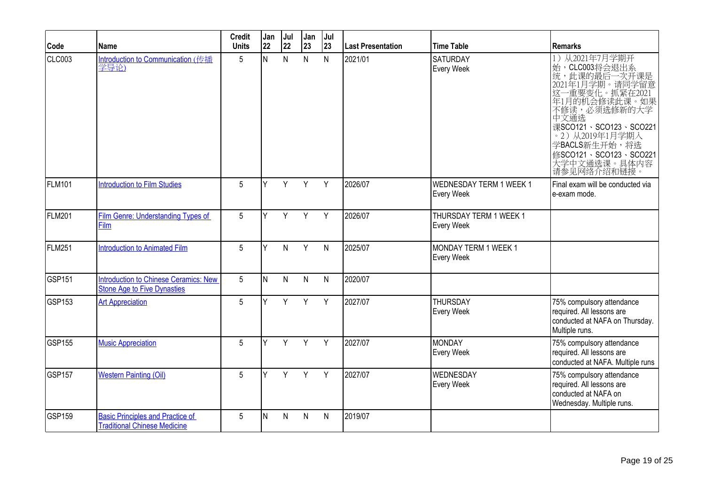| Code          | <b>Name</b>                                                                        | <b>Credit</b><br><b>Units</b> | Jan<br>22 | Jul<br>22 | Jan<br>23    | Jul<br>23    | <b>Last Presentation</b> | <b>Time Table</b>                            | <b>Remarks</b>                                                                                                                                                                                                                                                 |
|---------------|------------------------------------------------------------------------------------|-------------------------------|-----------|-----------|--------------|--------------|--------------------------|----------------------------------------------|----------------------------------------------------------------------------------------------------------------------------------------------------------------------------------------------------------------------------------------------------------------|
| <b>CLC003</b> | Introduction to Communication (传播<br>学导论)                                          | 5                             | N         | N         | $\mathsf{N}$ | N            | 2021/01                  | <b>SATURDAY</b><br>Every Week                | 从2021年7月学期开<br>1)<br>始, CLC003将会退出系<br>统, 此课的最后一次开课是<br>2021年1月学期。请同学留意<br>这一重要变化。抓紧在2021<br>年1月的机会修读此课。如果<br>不修读, 必须选修新的大学<br>中文通选<br>课SCO121、SCO123、SCO221<br>· 2) 从2019年1月学期入<br>学BACLS新生开始,将选<br>修SCO121、SCO123、SCO221<br>,<br>大学中文通选课。具体内容<br>请参见网络介绍和链接。 |
| <b>FLM101</b> | <b>Introduction to Film Studies</b>                                                | 5                             | Y         | Y         | Y            | Y            | 2026/07                  | <b>WEDNESDAY TERM 1 WEEK 1</b><br>Every Week | Final exam will be conducted via<br>e-exam mode.                                                                                                                                                                                                               |
| <b>FLM201</b> | Film Genre: Understanding Types of<br>Film                                         | 5                             | Y         | Y         | Y            | Y            | 2026/07                  | THURSDAY TERM 1 WEEK 1<br>Every Week         |                                                                                                                                                                                                                                                                |
| FLM251        | <b>Introduction to Animated Film</b>                                               | 5                             | Υ         | N         | Y            | $\mathsf{N}$ | 2025/07                  | MONDAY TERM 1 WEEK 1<br>Every Week           |                                                                                                                                                                                                                                                                |
| <b>GSP151</b> | <b>Introduction to Chinese Ceramics: New</b><br><b>Stone Age to Five Dynasties</b> | 5                             | IN.       | N         | $\mathsf{N}$ | $\mathsf{N}$ | 2020/07                  |                                              |                                                                                                                                                                                                                                                                |
| GSP153        | <b>Art Appreciation</b>                                                            | 5                             | Y         | Y         | Y            | Y            | 2027/07                  | <b>THURSDAY</b><br>Every Week                | 75% compulsory attendance<br>required. All lessons are<br>conducted at NAFA on Thursday.<br>Multiple runs.                                                                                                                                                     |
| <b>GSP155</b> | <b>Music Appreciation</b>                                                          | 5                             | Y         | Y         | Y            | Y            | 2027/07                  | MONDAY<br>Every Week                         | 75% compulsory attendance<br>required. All lessons are<br>conducted at NAFA. Multiple runs                                                                                                                                                                     |
| <b>GSP157</b> | <b>Western Painting (Oil)</b>                                                      | 5                             | Y         | Y         | Y            | Y            | 2027/07                  | <b>WEDNESDAY</b><br><b>Every Week</b>        | 75% compulsory attendance<br>required. All lessons are<br>conducted at NAFA on<br>Wednesday. Multiple runs.                                                                                                                                                    |
| <b>GSP159</b> | <b>Basic Principles and Practice of</b><br><b>Traditional Chinese Medicine</b>     | 5                             | N         | N         | N            | N            | 2019/07                  |                                              |                                                                                                                                                                                                                                                                |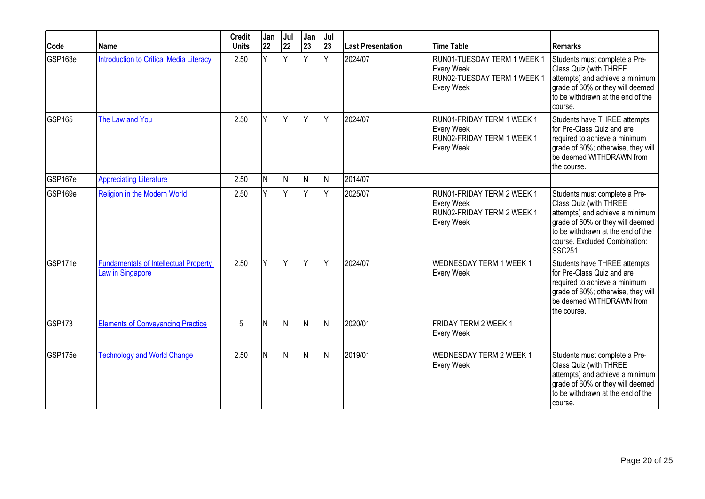| Code          | Name                                                             | <b>Credit</b><br><b>Units</b> | Jan<br>22 | Jul<br>22 | Jan<br>23    | Jul<br> 23 | <b>Last Presentation</b> | <b>Time Table</b>                                                                           | Remarks                                                                                                                                                                                                         |
|---------------|------------------------------------------------------------------|-------------------------------|-----------|-----------|--------------|------------|--------------------------|---------------------------------------------------------------------------------------------|-----------------------------------------------------------------------------------------------------------------------------------------------------------------------------------------------------------------|
| GSP163e       | <b>Introduction to Critical Media Literacy</b>                   | 2.50                          | Y         | Y         | Y            | Y          | 2024/07                  | RUN01-TUESDAY TERM 1 WEEK 1<br>Every Week<br>RUN02-TUESDAY TERM 1 WEEK 1<br>Every Week      | Students must complete a Pre-<br>Class Quiz (with THREE<br>attempts) and achieve a minimum<br>grade of 60% or they will deemed<br>to be withdrawn at the end of the<br>course.                                  |
| <b>GSP165</b> | The Law and You                                                  | 2.50                          | Y         | Y         | Y            | Y          | 2024/07                  | RUN01-FRIDAY TERM 1 WEEK 1<br>Every Week<br>RUN02-FRIDAY TERM 1 WEEK 1<br>Every Week        | Students have THREE attempts<br>for Pre-Class Quiz and are<br>required to achieve a minimum<br>grade of 60%; otherwise, they will<br>be deemed WITHDRAWN from<br>the course.                                    |
| GSP167e       | <b>Appreciating Literature</b>                                   | 2.50                          | IN.       | N         | $\mathsf{N}$ | N          | 2014/07                  |                                                                                             |                                                                                                                                                                                                                 |
| GSP169e       | Religion in the Modern World                                     | 2.50                          | Y         | Y         | Y            | Y          | 2025/07                  | RUN01-FRIDAY TERM 2 WEEK 1<br>Every Week<br>RUN02-FRIDAY TERM 2 WEEK 1<br><b>Every Week</b> | Students must complete a Pre-<br>Class Quiz (with THREE<br>attempts) and achieve a minimum<br>grade of 60% or they will deemed<br>to be withdrawn at the end of the<br>course. Excluded Combination:<br>SSC251. |
| GSP171e       | <b>Fundamentals of Intellectual Property</b><br>Law in Singapore | 2.50                          | v         | Y         | Y            | Y          | 2024/07                  | <b>WEDNESDAY TERM 1 WEEK 1</b><br><b>Every Week</b>                                         | Students have THREE attempts<br>for Pre-Class Quiz and are<br>required to achieve a minimum<br>grade of 60%; otherwise, they will<br>be deemed WITHDRAWN from<br>the course.                                    |
| <b>GSP173</b> | <b>Elements of Conveyancing Practice</b>                         | 5                             | ΙN        | N         | N            | N          | 2020/01                  | FRIDAY TERM 2 WEEK 1<br>Every Week                                                          |                                                                                                                                                                                                                 |
| GSP175e       | <b>Technology and World Change</b>                               | 2.50                          | IN.       | N         | N            | N          | 2019/01                  | <b>WEDNESDAY TERM 2 WEEK 1</b><br>Every Week                                                | Students must complete a Pre-<br>Class Quiz (with THREE<br>attempts) and achieve a minimum<br>grade of 60% or they will deemed<br>to be withdrawn at the end of the<br>Icourse.                                 |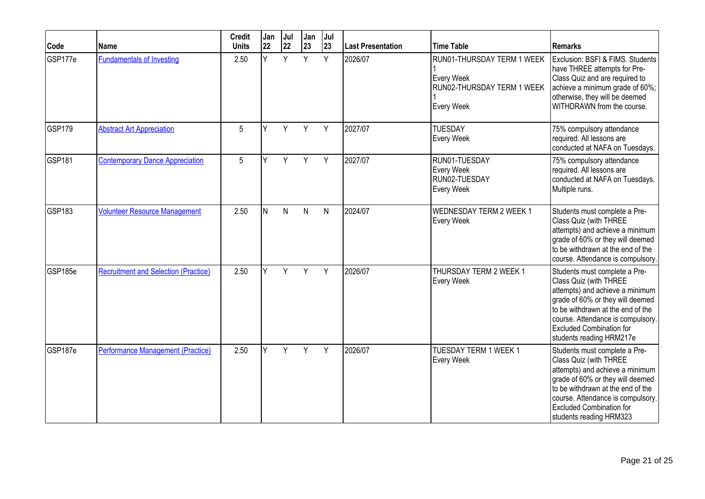| Code               | Name                                        | <b>Credit</b><br><b>Units</b> | Jan<br>22 | Jul<br>22 | Jan<br>23    | Jul<br>23    | <b>Last Presentation</b> | <b>Time Table</b>                                                                    | Remarks                                                                                                                                                                                                                                                                 |
|--------------------|---------------------------------------------|-------------------------------|-----------|-----------|--------------|--------------|--------------------------|--------------------------------------------------------------------------------------|-------------------------------------------------------------------------------------------------------------------------------------------------------------------------------------------------------------------------------------------------------------------------|
| GSP177e            | <b>Fundamentals of Investing</b>            | 2.50                          | v         | Y         | Y            | Y            | 2026/07                  | RUN01-THURSDAY TERM 1 WEEK<br>Every Week<br>RUN02-THURSDAY TERM 1 WEEK<br>Every Week | Exclusion: BSFI & FIMS. Students<br>have THREE attempts for Pre-<br>Class Quiz and are required to<br>achieve a minimum grade of 60%;<br>otherwise, they will be deemed<br>WITHDRAWN from the course.                                                                   |
| GSP179             | <b>Abstract Art Appreciation</b>            | 5                             | ٧         | Y         | Y            | Y            | 2027/07                  | <b>TUESDAY</b><br>Every Week                                                         | 75% compulsory attendance<br>required. All lessons are<br>conducted at NAFA on Tuesdays.                                                                                                                                                                                |
| GSP <sub>181</sub> | <b>Contemporary Dance Appreciation</b>      | 5                             | Y         | Y         | Y            | Y            | 2027/07                  | RUN01-TUESDAY<br>Every Week<br>RUN02-TUESDAY<br>Every Week                           | 75% compulsory attendance<br>required. All lessons are<br>conducted at NAFA on Tuesdays.<br>Multiple runs.                                                                                                                                                              |
| GSP183             | <b>Volunteer Resource Management</b>        | 2.50                          | IN.       | N         | $\mathsf{N}$ | $\mathsf{N}$ | 2024/07                  | <b>WEDNESDAY TERM 2 WEEK 1</b><br>Every Week                                         | Students must complete a Pre-<br>Class Quiz (with THREE<br>attempts) and achieve a minimum<br>grade of 60% or they will deemed<br>to be withdrawn at the end of the<br>course. Attendance is compulsory.                                                                |
| GSP185e            | <b>Recruitment and Selection (Practice)</b> | 2.50                          | v         | Y         | Y            | Y            | 2026/07                  | THURSDAY TERM 2 WEEK 1<br>Every Week                                                 | Students must complete a Pre-<br>Class Quiz (with THREE<br>attempts) and achieve a minimum<br>grade of 60% or they will deemed<br>to be withdrawn at the end of the<br>course. Attendance is compulsory.<br><b>Excluded Combination for</b><br>students reading HRM217e |
| GSP187e            | <b>Performance Management (Practice)</b>    | 2.50                          |           | Y         | Y            | Y            | 2026/07                  | TUESDAY TERM 1 WEEK 1<br>Every Week                                                  | Students must complete a Pre-<br>Class Quiz (with THREE<br>attempts) and achieve a minimum<br>grade of 60% or they will deemed<br>to be withdrawn at the end of the<br>course. Attendance is compulsory.<br><b>Excluded Combination for</b><br>students reading HRM323  |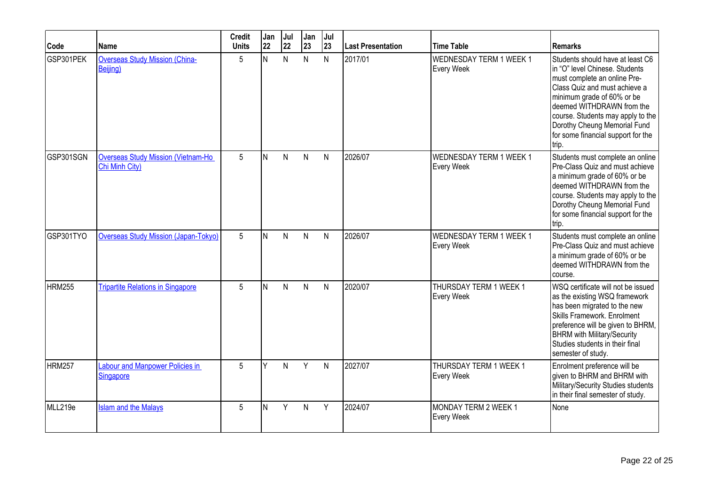| Code          | Name                                                        | <b>Credit</b><br><b>Units</b> | Jan<br>22 | Jul<br>22 | Jan<br>23    | Jul<br>23    | Last Presentation | <b>Time Table</b>                     | <b>Remarks</b>                                                                                                                                                                                                                                                                                                     |
|---------------|-------------------------------------------------------------|-------------------------------|-----------|-----------|--------------|--------------|-------------------|---------------------------------------|--------------------------------------------------------------------------------------------------------------------------------------------------------------------------------------------------------------------------------------------------------------------------------------------------------------------|
| GSP301PEK     | <b>Overseas Study Mission (China-</b><br>Beijing)           | 5                             | N         | N         | N            | N            | 2017/01           | WEDNESDAY TERM 1 WEEK 1<br>Every Week | Students should have at least C6<br>in "O" level Chinese. Students<br>must complete an online Pre-<br>Class Quiz and must achieve a<br>minimum grade of 60% or be<br>deemed WITHDRAWN from the<br>course. Students may apply to the<br>Dorothy Cheung Memorial Fund<br>for some financial support for the<br>trip. |
| GSP301SGN     | <b>Overseas Study Mission (Vietnam-Ho</b><br>Chi Minh City) | 5                             | IN.       | N         | $\mathsf{N}$ | $\mathsf{N}$ | 2026/07           | WEDNESDAY TERM 1 WEEK 1<br>Every Week | Students must complete an online<br>Pre-Class Quiz and must achieve<br>a minimum grade of 60% or be<br>deemed WITHDRAWN from the<br>course. Students may apply to the<br>Dorothy Cheung Memorial Fund<br>for some financial support for the<br>trip.                                                               |
| GSP301TYO     | <b>Overseas Study Mission (Japan-Tokyo)</b>                 | 5                             | N         | N         | N            | N            | 2026/07           | WEDNESDAY TERM 1 WEEK 1<br>Every Week | Students must complete an online<br>Pre-Class Quiz and must achieve<br>a minimum grade of 60% or be<br>deemed WITHDRAWN from the<br>course.                                                                                                                                                                        |
| <b>HRM255</b> | <b>Tripartite Relations in Singapore</b>                    | 5                             | lN.       | N         | N            | $\mathsf{N}$ | 2020/07           | THURSDAY TERM 1 WEEK 1<br>Every Week  | WSQ certificate will not be issued<br>as the existing WSQ framework<br>has been migrated to the new<br>Skills Framework. Enrolment<br>preference will be given to BHRM,<br><b>BHRM</b> with Military/Security<br>Studies students in their final<br>semester of study.                                             |
| <b>HRM257</b> | <b>Labour and Manpower Policies in</b><br><b>Singapore</b>  | 5                             | Y         | N         | Y            | $\mathsf{N}$ | 2027/07           | THURSDAY TERM 1 WEEK 1<br>Every Week  | Enrolment preference will be<br>given to BHRM and BHRM with<br>Military/Security Studies students<br>in their final semester of study.                                                                                                                                                                             |
| MLL219e       | <b>Islam and the Malays</b>                                 | 5                             | N         | Y         | N            | Y            | 2024/07           | MONDAY TERM 2 WEEK 1<br>Every Week    | None                                                                                                                                                                                                                                                                                                               |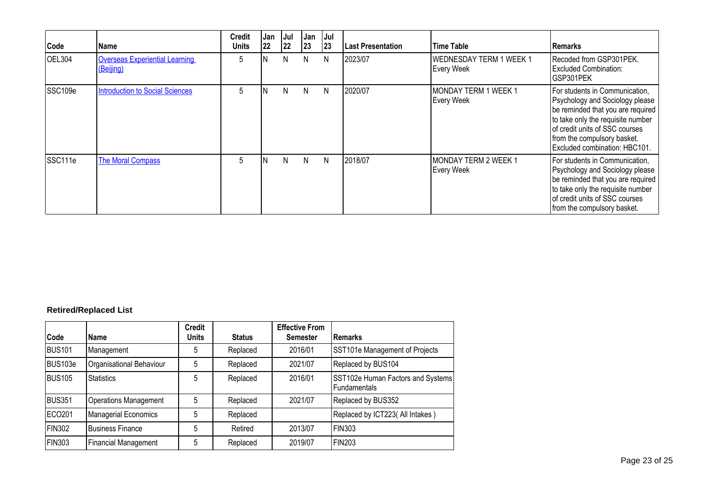| Code                | l Name                                             | <b>Credit</b><br><b>Units</b> | Jan<br>22 | Jul<br> 22 | Jan<br> 23 | Jul<br> 23 | Last Presentation | Time Table                                   | <b>IRemarks</b>                                                                                                                                                                                                                               |
|---------------------|----------------------------------------------------|-------------------------------|-----------|------------|------------|------------|-------------------|----------------------------------------------|-----------------------------------------------------------------------------------------------------------------------------------------------------------------------------------------------------------------------------------------------|
| <b>OEL304</b>       | <b>Overseas Experiential Learning</b><br>(Beijing) | 5                             | N         | N          | N.         | N          | 2023/07           | <b>WEDNESDAY TERM 1 WEEK 1</b><br>Every Week | Recoded from GSP301PEK.<br><b>Excluded Combination:</b><br>GSP301PEK                                                                                                                                                                          |
| SSC <sub>109e</sub> | <b>Introduction to Social Sciences</b>             | 5                             |           | N          | N.         | N          | 2020/07           | MONDAY TERM 1 WEEK 1<br><b>Every Week</b>    | For students in Communication,<br>Psychology and Sociology please<br>be reminded that you are required<br>to take only the requisite number<br>of credit units of SSC courses<br>from the compulsory basket.<br>Excluded combination: HBC101. |
| SSC111e             | <b>The Moral Compass</b>                           | 5                             |           | N          | N.         | N          | 12018/07          | IMONDAY TERM 2 WEEK 1<br><b>Every Week</b>   | For students in Communication,<br>Psychology and Sociology please<br>be reminded that you are required<br>to take only the requisite number<br>of credit units of SSC courses<br>from the compulsory basket.                                  |

## **Retired/Replaced List**

| Code          | <b>Name</b>                  | <b>Credit</b><br><b>Units</b> | <b>Status</b> | <b>Effective From</b><br><b>Semester</b> | <b>IRemarks</b>                                          |
|---------------|------------------------------|-------------------------------|---------------|------------------------------------------|----------------------------------------------------------|
| <b>BUS101</b> | Management                   | 5                             | Replaced      | 2016/01                                  | SST101e Management of Projects                           |
| BUS103e       | Organisational Behaviour     | 5                             | Replaced      | 2021/07                                  | Replaced by BUS104                                       |
| <b>BUS105</b> | <b>Statistics</b>            | 5                             | Replaced      | 2016/01                                  | SST102e Human Factors and Systems<br><b>Fundamentals</b> |
| <b>BUS351</b> | <b>Operations Management</b> | 5                             | Replaced      | 2021/07                                  | Replaced by BUS352                                       |
| ECO201        | <b>Managerial Economics</b>  | 5                             | Replaced      |                                          | Replaced by ICT223( All Intakes)                         |
| <b>FIN302</b> | <b>Business Finance</b>      | 5                             | Retired       | 2013/07                                  | FIN303                                                   |
| FIN303        | <b>Financial Management</b>  | 5                             | Replaced      | 2019/07                                  | <b>FIN203</b>                                            |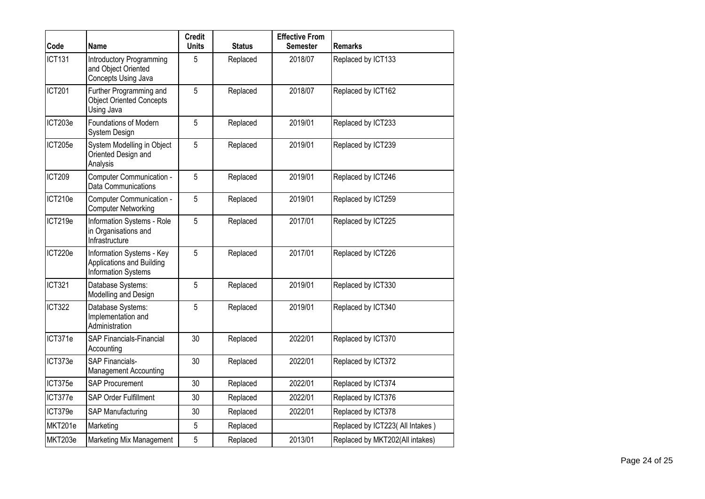| Code          | <b>Name</b>                                                                   | <b>Credit</b><br><b>Units</b> | <b>Status</b> | <b>Effective From</b><br>Semester | <b>Remarks</b>                   |
|---------------|-------------------------------------------------------------------------------|-------------------------------|---------------|-----------------------------------|----------------------------------|
| <b>ICT131</b> | <b>Introductory Programming</b><br>and Object Oriented<br>Concepts Using Java | 5                             | Replaced      | 2018/07                           | Replaced by ICT133               |
| <b>ICT201</b> | Further Programming and<br><b>Object Oriented Concepts</b><br>Using Java      | 5                             | Replaced      | 2018/07                           | Replaced by ICT162               |
| ICT203e       | Foundations of Modern<br>System Design                                        | 5                             | Replaced      | 2019/01                           | Replaced by ICT233               |
| ICT205e       | System Modelling in Object<br>Oriented Design and<br>Analysis                 | 5                             | Replaced      | 2019/01                           | Replaced by ICT239               |
| <b>ICT209</b> | Computer Communication -<br>Data Communications                               | 5                             | Replaced      | 2019/01                           | Replaced by ICT246               |
| ICT210e       | Computer Communication -<br><b>Computer Networking</b>                        | 5                             | Replaced      | 2019/01                           | Replaced by ICT259               |
| ICT219e       | Information Systems - Role<br>in Organisations and<br>Infrastructure          | 5                             | Replaced      | 2017/01                           | Replaced by ICT225               |
| ICT220e       | Information Systems - Key<br>Applications and Building<br>Information Systems | 5                             | Replaced      | 2017/01                           | Replaced by ICT226               |
| <b>ICT321</b> | Database Systems:<br>Modelling and Design                                     | 5                             | Replaced      | 2019/01                           | Replaced by ICT330               |
| <b>ICT322</b> | Database Systems:<br>Implementation and<br>Administration                     | 5                             | Replaced      | 2019/01                           | Replaced by ICT340               |
| ICT371e       | SAP Financials-Financial<br>Accounting                                        | 30                            | Replaced      | 2022/01                           | Replaced by ICT370               |
| ICT373e       | <b>SAP Financials-</b><br><b>Management Accounting</b>                        | 30                            | Replaced      | 2022/01                           | Replaced by ICT372               |
| ICT375e       | <b>SAP Procurement</b>                                                        | 30                            | Replaced      | 2022/01                           | Replaced by ICT374               |
| ICT377e       | SAP Order Fulfillment                                                         | 30                            | Replaced      | 2022/01                           | Replaced by ICT376               |
| ICT379e       | <b>SAP Manufacturing</b>                                                      | 30                            | Replaced      | 2022/01                           | Replaced by ICT378               |
| MKT201e       | Marketing                                                                     | 5                             | Replaced      |                                   | Replaced by ICT223( All Intakes) |
| MKT203e       | Marketing Mix Management                                                      | 5                             | Replaced      | 2013/01                           | Replaced by MKT202(All intakes)  |